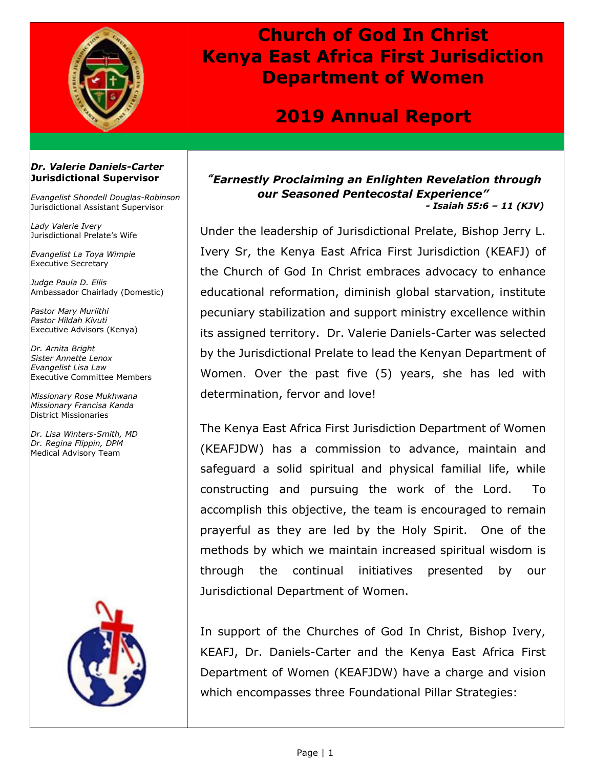

## **Church of God In Christ Kenya East Africa First Jurisdiction Department of Women**

### **2019 Annual Report**

#### *Dr. Valerie Daniels-Carter* **Jurisdictional Supervisor**

*Evangelist Shondell Douglas-Robinson* Jurisdictional Assistant Supervisor

*Lady Valerie Ivery* Jurisdictional Prelate's Wife

*Evangelist La Toya Wimpie* Executive Secretary

*Judge Paula D. Ellis* Ambassador Chairlady (Domestic)

*Pastor Mary Muriithi Pastor Hildah Kivuti* Executive Advisors (Kenya)

*Dr. Arnita Bright Sister Annette Lenox Evangelist Lisa Law* Executive Committee Members

*Missionary Rose Mukhwana Missionary Francisa Kanda* District Missionaries

*Dr. Lisa Winters-Smith, MD Dr. Regina Flippin, DPM* Medical Advisory Team



*" Earnestly Proclaiming an Enlighten Revelation through our Seasoned Pentecostal Experience" - Isaiah 55:6 – 11 (KJV)*

Under the leadership of Jurisdictional Prelate, Bishop Jerry L. Ivery Sr, the Kenya East Africa First Jurisdiction (KEAFJ) of the Church of God In Christ embraces advocacy to enhance educational reformation, diminish global starvation, institute pecuniary stabilization and support ministry excellence within its assigned territory. Dr. Valerie Daniels-Carter was selected by the Jurisdictional Prelate to lead the Kenyan Department of Women. Over the past five (5) years, she has led with determination, fervor and love!

The Kenya East Africa First Jurisdiction Department of Women (KEAFJDW) has a commission to advance, maintain and safeguard a solid spiritual and physical familial life, while constructing and pursuing the work of the Lord. To accomplish this objective, the team is encouraged to remain prayerful as they are led by the Holy Spirit. One of the methods by which we maintain increased spiritual wisdom is through the continual initiatives presented by our Jurisdictional Department of Women.

In support of the Churches of God In Christ, Bishop Ivery, KEAFJ, Dr. Daniels-Carter and the Kenya East Africa First Department of Women (KEAFJDW) have a charge and vision which encompasses three Foundational Pillar Strategies: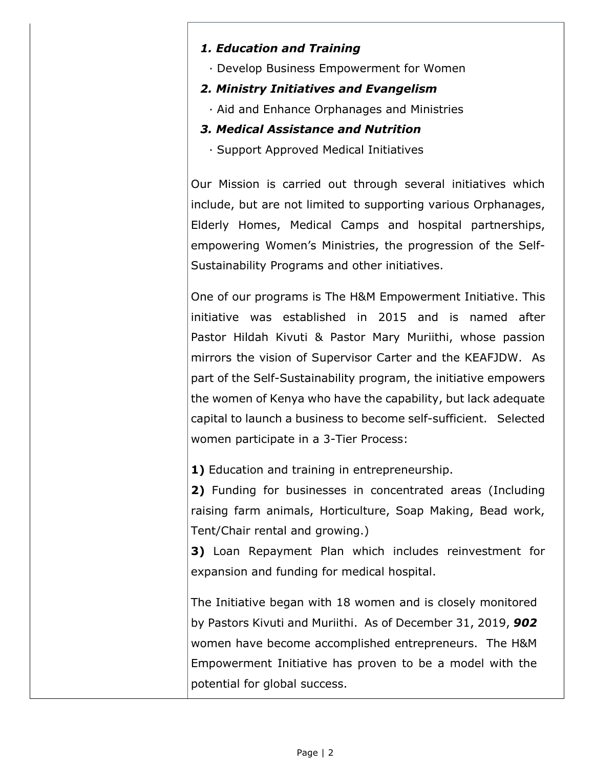#### *1. Education and Training*

- · Develop Business Empowerment for Women
- *2. Ministry Initiatives and Evangelism*
	- · Aid and Enhance Orphanages and Ministries

### *3. Medical Assistance and Nutrition*

· Support Approved Medical Initiatives

Our Mission is carried out through several initiatives which include, but are not limited to supporting various Orphanages, Elderly Homes, Medical Camps and hospital partnerships, empowering Women's Ministries, the progression of the Self-Sustainability Programs and other initiatives.

One of our programs is The H&M Empowerment Initiative. This initiative was established in 2015 and is named after Pastor Hildah Kivuti & Pastor Mary Muriithi, whose passion mirrors the vision of Supervisor Carter and the KEAFJDW. As part of the Self-Sustainability program, the initiative empowers the women of Kenya who have the capability, but lack adequate capital to launch a business to become self-sufficient. Selected women participate in a 3-Tier Process:

**1)** Education and training in entrepreneurship.

**2)** Funding for businesses in concentrated areas (Including raising farm animals, Horticulture, Soap Making, Bead work, Tent/Chair rental and growing.)

**3)** Loan Repayment Plan which includes reinvestment for expansion and funding for medical hospital.

The Initiative began with 18 women and is closely monitored by Pastors Kivuti and Muriithi. As of December 31, 2019, *902* women have become accomplished entrepreneurs. The H&M Empowerment Initiative has proven to be a model with the potential for global success.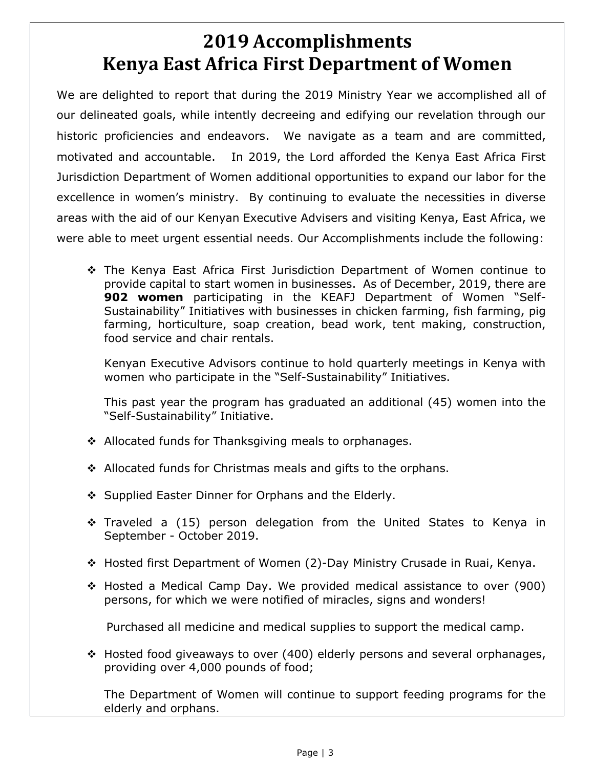# **2019 Accomplishments Kenya East Africa First Department of Women**

We are delighted to report that during the 2019 Ministry Year we accomplished all of our delineated goals, while intently decreeing and edifying our revelation through our historic proficiencies and endeavors. We navigate as a team and are committed, motivated and accountable. In 2019, the Lord afforded the Kenya East Africa First Jurisdiction Department of Women additional opportunities to expand our labor for the excellence in women's ministry. By continuing to evaluate the necessities in diverse areas with the aid of our Kenyan Executive Advisers and visiting Kenya, East Africa, we were able to meet urgent essential needs. Our Accomplishments include the following:

 The Kenya East Africa First Jurisdiction Department of Women continue to provide capital to start women in businesses. As of December, 2019, there are **902 women** participating in the KEAFJ Department of Women "Self-Sustainability" Initiatives with businesses in chicken farming, fish farming, pig farming, horticulture, soap creation, bead work, tent making, construction, food service and chair rentals.

Kenyan Executive Advisors continue to hold quarterly meetings in Kenya with women who participate in the "Self-Sustainability" Initiatives.

This past year the program has graduated an additional (45) women into the "Self-Sustainability" Initiative.

- ❖ Allocated funds for Thanksgiving meals to orphanages.
- $\cdot$  Allocated funds for Christmas meals and gifts to the orphans.
- ❖ Supplied Easter Dinner for Orphans and the Elderly.
- \* Traveled a (15) person delegation from the United States to Kenya in September - October 2019.
- Hosted first Department of Women (2)-Day Ministry Crusade in Ruai, Kenya.
- Hosted a Medical Camp Day. We provided medical assistance to over (900) persons, for which we were notified of miracles, signs and wonders!

Purchased all medicine and medical supplies to support the medical camp.

 $\div$  Hosted food giveaways to over (400) elderly persons and several orphanages, providing over 4,000 pounds of food;

The Department of Women will continue to support feeding programs for the elderly and orphans.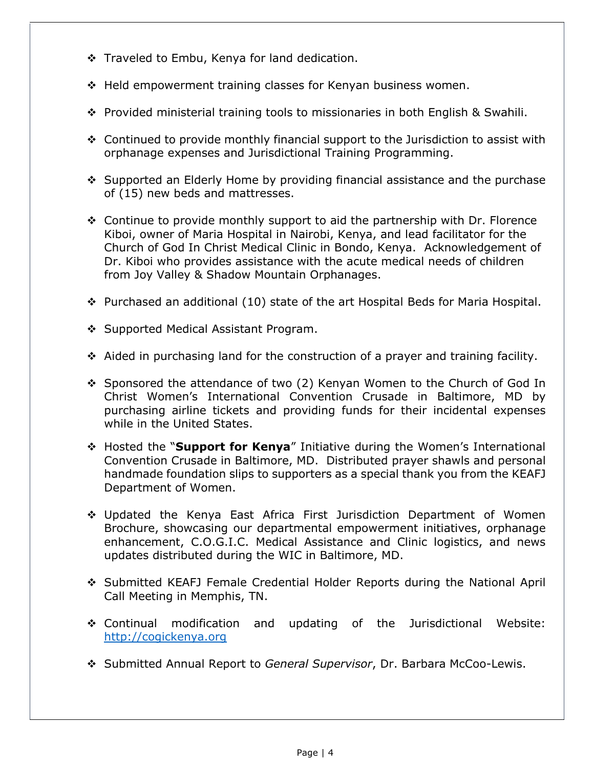- Traveled to Embu, Kenya for land dedication.
- $\div$  Held empowerment training classes for Kenyan business women.
- $\div$  Provided ministerial training tools to missionaries in both English & Swahili.
- $\div$  Continued to provide monthly financial support to the Jurisdiction to assist with orphanage expenses and Jurisdictional Training Programming.
- ❖ Supported an Elderly Home by providing financial assistance and the purchase of (15) new beds and mattresses.
- $\div$  Continue to provide monthly support to aid the partnership with Dr. Florence Kiboi, owner of Maria Hospital in Nairobi, Kenya, and lead facilitator for the Church of God In Christ Medical Clinic in Bondo, Kenya. Acknowledgement of Dr. Kiboi who provides assistance with the acute medical needs of children from Joy Valley & Shadow Mountain Orphanages.
- Purchased an additional (10) state of the art Hospital Beds for Maria Hospital.
- ❖ Supported Medical Assistant Program.
- $\div$  Aided in purchasing land for the construction of a prayer and training facility.
- Sponsored the attendance of two (2) Kenyan Women to the Church of God In Christ Women's International Convention Crusade in Baltimore, MD by purchasing airline tickets and providing funds for their incidental expenses while in the United States.
- Hosted the "**Support for Kenya**" Initiative during the Women's International Convention Crusade in Baltimore, MD. Distributed prayer shawls and personal handmade foundation slips to supporters as a special thank you from the KEAFJ Department of Women.
- Updated the Kenya East Africa First Jurisdiction Department of Women Brochure, showcasing our departmental empowerment initiatives, orphanage enhancement, C.O.G.I.C. Medical Assistance and Clinic logistics, and news updates distributed during the WIC in Baltimore, MD.
- Submitted KEAFJ Female Credential Holder Reports during the National April Call Meeting in Memphis, TN.
- Continual modification and updating of the Jurisdictional Website: [http://cogickenya.org](http://cogickenya.org/)
- Submitted Annual Report to *General Supervisor*, Dr. Barbara McCoo-Lewis.